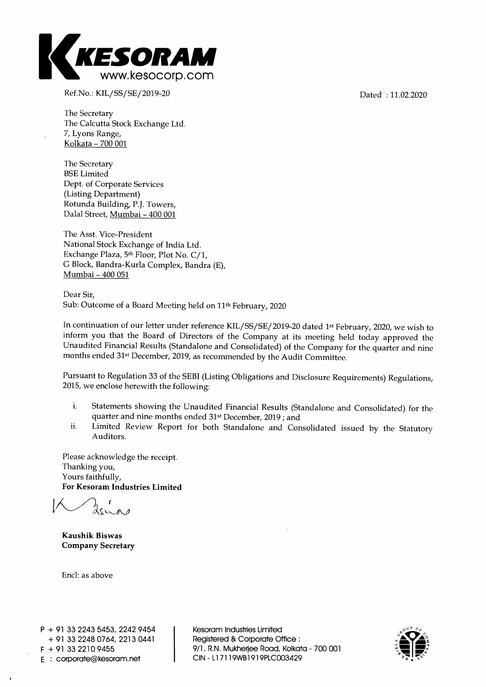

Ref.No.: KIL/SS/SE/2019-20

The Secretary The Calcutta Stock Exchange Ltd. 7, Lyons Range, Kolkata - 700 001

The Secretary BSE Limited Dept. of Corporate Services (Listing Department) Rotunda Building, P.J. Towers, Dalai Street, Mumbai - 400 001

The Asst. Vice-President National Stock Exchange of India Ltd. Exchange Plaza, 5th Floor, Plot No. C/1, G Block, Bandra-Kurla Complex, Bandra (E), Mumbai - 400 051

Dear Sir, Sub: Outcome of a Board Meeting held on 11th February, 2020

In continuation of our letter under reference KIL/SS/SE/2019-20 dated 1st February, 2020, we wish to inform you that the Board of Directors of the Company at its meeting held today approved the Unaudited Financial Results (Standalone and Consolidated) of the Company for the quarter and nine months ended 31st December, 2019, as recommended by the Audit Committee.

Pursuant to Regulation 33 of the SEBI (Listing Obligations and Disclosure Requirements) Regulations, 2015, we enclose herewith the following:

- i. Statements showing the Unaudited Financial Results (Standalone and Consolidated) for the quarter and nine months ended 31st December, 2019 ; and
- ii. Limited Review Report for both Standalone and Consolidated issued by the Statutory Auditors.

Please acknowledge the receipt. Thanking you, Yours faithfully, **For Kesoram Industries Limited** 

**Kaushik Biswas Company Secretary** 

Encl: as above

Kesoram Industries Limited Registered & Corporate Office : 9/1, R.N. Mukherjee Road, Kolkata - 700 001 CIN - Ll 7119WB1919PLC003429



Dated : 11.02.2020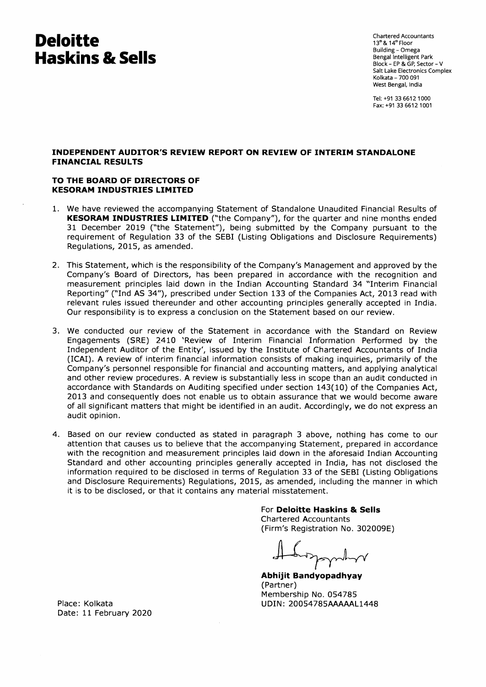# **Deloitte Haskins & Sells**

Chartered Accountants 13th & 14th Floor Building - Omega Bengal Intelligent Park Block - EP & GP, Sector - V Salt Lake Electronics Complex Kolkata - 700 091 West Bengal, India

Tel: +91 33 6612 1000 Fax: +91 33 6612 1001

### **INDEPENDENT AUDITOR'S REVIEW REPORT ON REVIEW OF INTERIM STANDALONE FINANCIAL RESULTS**

### **TO THE BOARD OF DIRECTORS OF KESORAM INDUSTRIES LIMITED**

- 1. We have reviewed the accompanying Statement of Standalone Unaudited Financial Results of **KESORAM INDUSTRIES LIMITED** ("the Company"), for the quarter and nine months ended 31 December 2019 ("the Statement"), being submitted by the Company pursuant to the requirement of Regulation 33 of the SEBI (Listing Obligations and Disclosure Requirements) Regulations, 2015, as amended.
- 2. This Statement, which is the responsibility of the Company's Management and approved by the Company's Board of Directors, has been prepared in accordance with the recognition and measurement principles laid down in the Indian Accounting Standard 34 "Interim Financial Reporting" ("Ind AS 34"), prescribed under Section 133 of the Companies Act, 2013 read with relevant rules issued thereunder and other accounting principles generally accepted in India. Our responsibility is to express a conclusion on the Statement based on our review.
- 3. We conducted our review of the Statement in accordance with the Standard on Review Engagements (SRE) 2410 'Review of Interim Financial Information Performed by the Independent Auditor of the Entity', issued by the Institute of Chartered Accountants of India (ICAI). A review of interim financial information consists of making inquiries, primarily of the Company's personnel responsible for financial and accounting matters, and applying analytical and other review procedures. A review is substantially less in scope than an audit conducted in accordance with Standards on Auditing specified under section 143(10) of the Companies Act, 2013 and consequently does not enable us to obtain assurance that we would become aware of all significant matters that might be identified in an audit. Accordingly, we do not express an audit opinion.
- 4. Based on our review conducted as stated in paragraph 3 above, nothing has come to our attention that causes us to believe that the accompanying Statement, prepared in accordance with the recognition and measurement principles laid down in the aforesaid Indian Accounting Standard and other accounting principles generally accepted in India, has not disclosed the information required to be disclosed in terms of Regulation 33 of the SEBI (Listing Obligations and Disclosure Requirements) Regulations, 2015, as amended, including the manner in which it is to be disclosed, or that it contains any material misstatement.

For **Deloitte Haskins & Sells**  Chartered Accountants (Firm's Registration No. 302009E)

**Abhijit Bandyopadhyay**  (Partner) Membership No. 054785 UDIN: 20054785AAAAAL1448

Place: Kolkata Date: 11 February 2020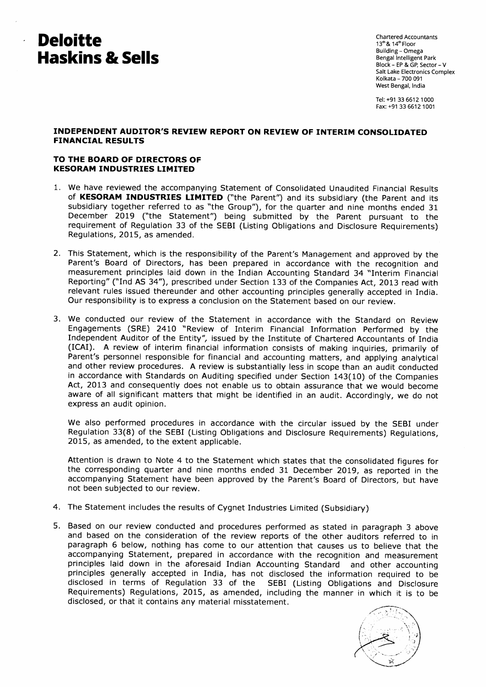# **Deloitte Haskins & Sells**

 $\ddot{\phantom{0}}$ 

**Chartered Accountants 13t & 14thFloor Building - Omega Bengal Intelligent Park Block - EP & GP, Sector - V Salt Lake Electronics Complex Kolkata - 700 091 West Bengal, India** 

**Tel: +91 33 6612 1000 Fax: +91 33 6612 1001** 

## **INDEPENDENT AUDITOR'S REVIEW REPORT ON REVIEW OF INTERIM CONSOLIDATED FINANCIAL RESULTS**

### **TO THE BOARD OF DIRECTORS OF KESORAM INDUSTRIES LIMITED**

- **1. We have reviewed the accompanying Statement of Consolidated Unaudited Financial Results of KESORAM INDUSTRIES LIMITED ("the Parent") and its subsidiary (the Parent and its subsidiary together referred to as "the Group"), for the quarter and nine months ended 31 December 2019 ("the Statement") being submitted by the Parent pursuant to the requirement of Regulation 33 of the SEBI (Listing Obligations and Disclosure Requirements) Regulations, 2015, as amended.**
- **2. This Statement, which is the responsibility of the Parent's Management and approved by the Parent's Board of Directors, has been prepared in accordance with the recognition and measurement principles laid down in the Indian Accounting Standard 34 "Interim Financial Reporting" ("Ind AS 34"), prescribed under Section 133 of the Companies Act, 2013 read with relevant rules issued thereunder and other accounting principles generally accepted in India. Our responsibility is to express a conclusion on the Statement based on our review.**
- **3. We conducted our review of the Statement in accordance with the Standard on Review Engagements (SRE) 2410 "Review of Interim Financial Information Performed by the Independent Auditor of the Entity", issued by the Institute of Chartered Accountants of India (ICAI). A review of interim financial information consists of making inquiries, primarily of**  Parent's personnel responsible for financial and accounting matters, and applying analytical **and other review procedures. A review is substantially less in scope than an audit conducted in accordance with Standards on Auditing specified under Section 143(10) of the Companies Act, 2013 and consequently does not enable us to obtain assurance that we would become aware of all significant matters that might be identified in an audit. Accordingly, we do not express an audit opinion.**

**We also performed procedures in accordance with the circular issued by the SEBI under Regulation 33(8) of the SEBI (Listing Obligations and Disclosure Requirements) Regulations, 2015, as amended, to the extent applicable.** 

**Attention is drawn to Note 4 to the Statement which states that the consolidated figures for the corresponding quarter and nine months ended 31 December 2019, as reported in the accompanying Statement have been approved by the Parent's Board of Directors, but have not been subjected to our review.** 

- **4. The Statement includes the results of Cygnet Industries Limited (Subsidiary)**
- **5. Based on our review conducted and procedures performed as stated in paragraph 3 above and based on the consideration of the review reports of the other auditors referred to in paragraph 6 below, nothing has come to our attention that causes us to believe that the accompanying Statement, prepared in accordance with the recognition and measurement principles laid down in the aforesaid Indian Accounting Standard and other accounting principles generally accepted in India, has not disclosed the information required to be disclosed in terms of Regulation 33 of the SEBI (Listing Obligations and Disclosure Requirements) Regulations, 2015, as amended, including the manner in which it is to be disclosed, or that it contains any material misstatement.**

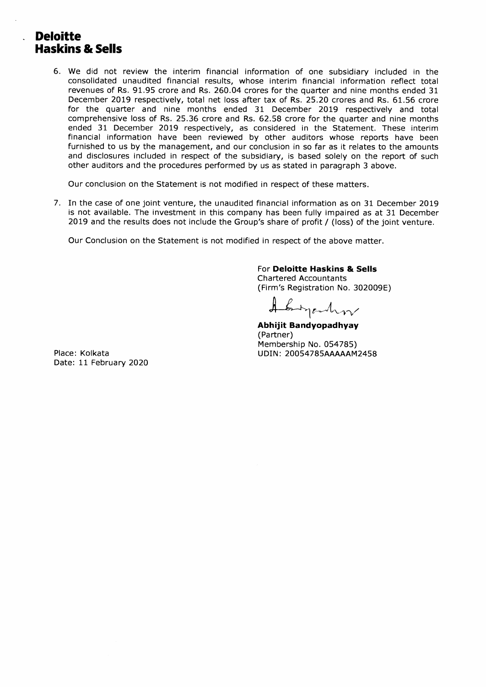# **Deloitte Haskins & Sells**

 $\overline{a}$ 

6. We did not review the interim financial information of one subsidiary included in the consolidated unaudited financial results, whose interim financial information reflect total revenues of Rs. 91.95 crore and Rs. 260.04 crores for the quarter and nine months ended 31 December 2019 respectively, total net loss after tax of Rs. 25.20 crores and Rs. 61.56 crore for the quarter and nine months ended 31 December 2019 respectively and total comprehensive loss of Rs. 25.36 crore and Rs. 62.58 crore for the quarter and nine months ended 31 December 2019 respectively, as considered in the Statement. These interim financial information have been reviewed by other auditors whose reports have been furnished to us by the management, and our conclusion in so far as it relates to the amounts and disclosures included in respect of the subsidiary, is based solely on the report of such other auditors and the procedures performed by us as stated in paragraph 3 above.

Our conclusion on the Statement is not modified in respect of these matters.

7. In the case of one joint venture, the unaudited financial information as on 31 December 2019 is not available. The investment in this company has been fully impaired as at 31 December 2019 and the results does not include the Group's share of profit / (loss) of the joint venture.

Our Conclusion on the Statement is not modified in respect of the above matter.

## For **Deloitte Haskins & Sells**

Chartered Accountants (Firm's Registration No. 302009E)

Engenhor

**Abhijit Bandyopadhyay**  (Partner) Membership No. 054785) UDIN: 20054785AAAAAM2458

Place: Kolkata Date: 11 February 2020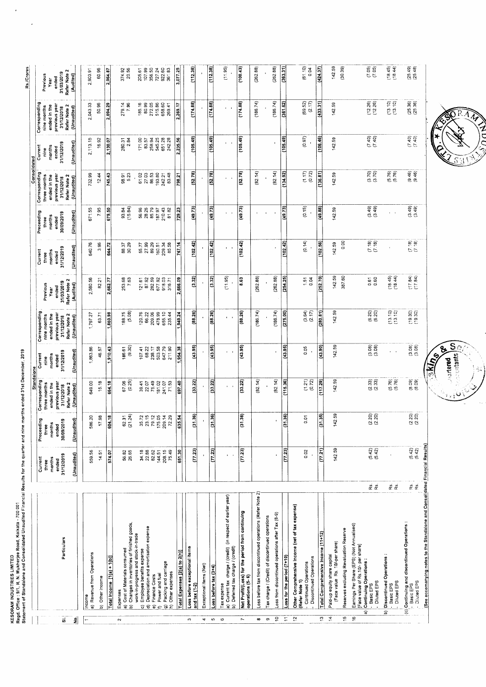|                          |                                                                                                                       |                                                                                             |                                   |                                   |                                           |                           |                               |                           |                                    |                      |                                             |                        |                             | Rs./Crores                           |
|--------------------------|-----------------------------------------------------------------------------------------------------------------------|---------------------------------------------------------------------------------------------|-----------------------------------|-----------------------------------|-------------------------------------------|---------------------------|-------------------------------|---------------------------|------------------------------------|----------------------|---------------------------------------------|------------------------|-----------------------------|--------------------------------------|
|                          |                                                                                                                       |                                                                                             |                                   |                                   | Standalone                                |                           |                               |                           |                                    |                      | Consolidated                                |                        |                             |                                      |
|                          |                                                                                                                       | Current                                                                                     |                                   | Preceeding                        | Corresponding                             | Current                   | Corresponding                 |                           | Current                            | Preceeding           | Corresponding                               | Current                | Corresponding               | Previous                             |
|                          |                                                                                                                       | three                                                                                       |                                   | three                             | three months                              | nine                      | nine months                   | Previous<br>Year          | months<br>three                    | months<br>three      | three months<br>ended in the                | months<br>nine         | ended in the<br>nine months | Year                                 |
|                          |                                                                                                                       | months<br>ended                                                                             |                                   | months<br>ended                   | ended in the                              | months<br>ended           | previous year<br>ended in the | ended                     | ended                              | ended                |                                             | ended                  | previous yea                | ended                                |
| $\vec{v}$                | Particulars                                                                                                           | 31/12/2019                                                                                  |                                   | 30/09/2019                        | previous year<br>31/12/2018               | 31/12/2019                | Refer Note 2<br>31/12/2018    | 31/03/2019                | 31/12/2019                         | 30/09/2019           | previous year<br>31/12/2018<br>Refer Note 2 | 31/12/2019             | Refer Note 2<br>31/12/2018  | Refer Note 2<br>31/03/2019           |
| 휰                        |                                                                                                                       | (Unaudited)                                                                                 |                                   | (Unaudited)                       | Refer Note 2<br>(Unaudited)               | (Unaudited)               | (Unaudited)                   | Refer Note 2<br>(Audited) | (Unaudited)                        | (Unaudited)          | (Unaudited)                                 | (Unaudited)            | (Unaudited)                 | (Audited)                            |
|                          | a) Revenue from Operations<br>ncome                                                                                   |                                                                                             | 559.56                            | 586.20                            | 649.00                                    | 1,863.86                  | 1,797.27                      | 2,580.56                  | 640.76                             | 671.55               | 732.99                                      | 2,113.15               | 2,043.33                    | 2,903.91                             |
|                          |                                                                                                                       |                                                                                             | 14.51                             | 17.98                             | 15.18                                     | 46.57                     | 63.71                         | 82.21                     | 3.96                               | 7.95                 | 12.44                                       | 16.92                  | 50.96                       | 60.96                                |
|                          | Other Income<br>â                                                                                                     |                                                                                             |                                   |                                   |                                           |                           |                               |                           |                                    |                      |                                             |                        |                             |                                      |
|                          | Total Income [1(a) + 1(b)]                                                                                            |                                                                                             | 574.07                            | 604.18                            | 664.18                                    | ,910.43                   | ,860.98                       | 2,662.77                  | 644.72                             | 679.50               | 745.43                                      | 2,130.07               | 2,094.29                    | 2,964.87                             |
| $\sim$                   | Expenses                                                                                                              |                                                                                             |                                   |                                   |                                           |                           |                               |                           |                                    |                      | 98                                          |                        |                             |                                      |
|                          | Changes in inventories of finished goods,<br>a) Cost of Materials consumed<br>้อ                                      |                                                                                             | 56.82<br>26.65                    | 62.31<br>(21.24)                  | 67.36)<br>(0.25)                          | $186.61$<br>$(9.30)$      | $(88.75$<br>$(5.08)$          | 253.68<br>7.63            | 88.37<br>30.29                     | 93.84<br>(15.84)     | 8.91<br>5.23                                | 280.31<br>2.84         | 279.14<br>7.96              | 374.92<br>20.56                      |
|                          | work-in-progress and stock-in-trade                                                                                   |                                                                                             |                                   |                                   |                                           |                           |                               |                           |                                    |                      |                                             |                        | 185.16                      |                                      |
|                          | Employee benefits expense<br>o                                                                                        |                                                                                             |                                   |                                   | 39.41<br>22.07                            | 68.22<br>107.41           | 120.76                        | 87.92<br>121.61           | 55.77<br>27.99                     | 56.96<br>28.26       | 61.02<br>27.03<br>86.53                     | $\frac{171,00}{83.57}$ | 80.99                       |                                      |
|                          | Depreciation and amortisation expense<br>Finance Costs<br>କ<br>$\widehat{\bullet}$                                    |                                                                                             | 34.18<br>22.88<br>82.62<br>144.51 | 35.72<br>23.15<br>79.12<br>175.05 |                                           | 238.17<br>503.58          | 66.22<br>209.06               | 282.59                    |                                    | 85.79                |                                             | 258.94                 | 272.05                      | 205.61<br>107.99<br>356.50<br>727.24 |
|                          | Power and fuel<br>Ċ                                                                                                   |                                                                                             |                                   |                                   |                                           |                           | 655.10<br>478.99              | 918.03<br>677.92          |                                    | 187.97               | 193.80<br>242.21                            | 545.25<br>651.28       | 515.86<br>658.60            | 922.60                               |
|                          | Packing and carriage<br>Other expenses<br>ଚ<br>$\widehat{E}$                                                          |                                                                                             | 208.15<br>75.49                   | 209.14<br>72.29                   | $75.49$<br>$75.02$<br>$741.07$<br>$71.53$ | 647.79<br>211.90          | 235.44                        | 316.71                    | 89.29<br>160.51<br>209.34<br>85.58 | 210.43<br>81.82      | 83.48                                       | 242.28                 | 269.41                      | 361.83                               |
|                          | otal Expenses [2(a) to 2(h)]                                                                                          |                                                                                             | 651.30                            | 635.54                            | 697.40                                    | 1,954.38                  | 1,949.24                      | 2,666.09                  | 747 14                             | 729 23               | 798.21                                      | 2,235.56               | 2,269.17                    | 3,077 25                             |
| S.                       | Loss before exceptional items                                                                                         |                                                                                             |                                   |                                   |                                           |                           |                               |                           | Q                                  | (49.73)              | (52.78)                                     | (105.49)               | (174.88)                    | (112.38)                             |
|                          | and tax (1-2)                                                                                                         |                                                                                             | (77.23)                           | (31.36)                           | (33.22)                                   | (43.95)                   | (88.26)                       | $\frac{32}{2}$            | 흼                                  |                      |                                             |                        |                             |                                      |
| 4                        | Exceptional items (Net)                                                                                               |                                                                                             |                                   |                                   |                                           |                           |                               |                           |                                    |                      |                                             |                        |                             |                                      |
| 5                        | $\textsf{Loss}$ before $\tan(3+4)$                                                                                    |                                                                                             | (77.23)                           | (31.36)                           | (33.22)                                   | (43.95)                   | (88.26)                       | $\frac{32}{2}$            | (102.42)                           | (49.73)              | (52.78)                                     | (105.49)               | (174.88)                    | (112.38)                             |
| $\circ$                  | Current tax charge / (credit) (in respect of earlier year)<br>Deferred tax charge / (credit)<br>Tax expense<br>ଇ<br>â |                                                                                             |                                   |                                   | $\mathbf{r}$                              | $\mathbf{r} = \mathbf{r}$ | ×                             | (11.95)                   | $\mathbf{r}=\mathbf{r}$            | $\mathbf{r}$         | $\mathbf{a}=\mathbf{a}$                     |                        | $\mathbf{r} = \mathbf{r}$   | (11.95)                              |
| $\overline{\phantom{a}}$ | Net Profit/(Loss) for the period from continuing<br>operations (5- 6)                                                 |                                                                                             | (77.23)                           | (31.36)                           | (33.22)                                   | (43.95)                   | (88.26)                       | 8.63                      | (102.42)                           | (49.73)              | (52.78)                                     | (105.49)               | (174.88)                    | (100.43)                             |
| œ                        | oss before tax from discontinued operations (Refer Note 2)                                                            |                                                                                             |                                   |                                   | (82.14)                                   |                           | (186.74)                      | (262.88)                  |                                    |                      | (82.14)                                     |                        | (186.74)                    | (262.88)                             |
| თ                        | ax charge / (Credit) of discontinued operations                                                                       |                                                                                             |                                   |                                   |                                           |                           |                               |                           |                                    |                      |                                             |                        |                             |                                      |
| ٥Ļ                       | oss from discontinued operations after Tax (8-9)                                                                      |                                                                                             |                                   |                                   | (82.14)                                   |                           | (186.74)                      | (262.88)                  |                                    |                      | (82.14)                                     |                        | (186.74)                    | (262.88)                             |
| Ξ                        | Loss for the period (7+10)                                                                                            |                                                                                             | (77.23)                           | (31.36)                           | (115.36)                                  | (43.95)                   | (275,00)                      | (254.25)                  | (102.42)                           | (49.73)              | (134.92)                                    | (105.49)               | (361.62)                    | (363.31)                             |
| $\ddot{c}$               | Other Comprehensive Income (net of tax expense)<br>(Refer Note 1)                                                     |                                                                                             |                                   |                                   |                                           |                           |                               |                           |                                    |                      |                                             |                        |                             |                                      |
|                          | Discontinued Operations<br>Continued Operations                                                                       |                                                                                             | 0.02                              | δ<br>Θ                            | $(1,27)$<br>$(0,72)$                      | 0.05                      | (3.64)<br>(2.17)              | $\frac{15}{5}$ 84         | (0.14)                             | (0.15)               | $(1.17)$<br>$(0.72)$                        | (0.97)                 | $(69.52)$<br>$(2.17)$       | (61.10)<br>0.04                      |
| ű                        | Total Comprehensive Income (11+12)                                                                                    |                                                                                             | (77.21)                           | (31.35)                           | (117.29                                   | (43.90)                   | (280.81)                      | (252.70)                  | (102.56)                           | (49.88)              | (136.81)                                    | (106.46)               | (433.31)                    | (424.37)                             |
| Ä,                       | (Face value Rs. 10/-per share)<br>Paid-up equity share capital                                                        |                                                                                             | 142.59                            | 142.59                            | 142.59                                    | 142.59                    | 142.59                        | 59<br>142.                | 142.59                             | 142.59               | 142.59                                      | 142.59                 | 142.59                      | 142.59                               |
| 45                       | Reserves excluding Revaluation Reserve                                                                                |                                                                                             |                                   |                                   |                                           |                           |                               | 387.60                    | 0.00                               |                      |                                             |                        |                             | (30.39)                              |
| $\overline{6}$           | Earnings Per Share (EPS) (Not Annualised)<br>[Face value of Rs.10/- per share]                                        |                                                                                             |                                   |                                   |                                           |                           |                               |                           |                                    |                      |                                             |                        |                             |                                      |
|                          | Continuing Operations:<br>Diluted EPS<br>Basic EPS<br>ଟ                                                               | <b>R</b> 29.                                                                                | $(5.42)$<br>$(5.42)$              | (2.20)<br>(2.20)                  | $(2.33)$<br>$(2.33)$                      | (3.08)<br>(3.08)          | $(6.20)$<br>$(6.20)$          | 0.67<br>0.60              | $(7.18)$<br>$(7.19)$               | $(3.49)$<br>$(3.49)$ | $\frac{1}{(3.70)}$                          | (7.40)                 | $(12.26)$<br>$(12.26)$      | $(7.05)$<br>$(7.05)$                 |
|                          | Discontinued Operations:<br>Diluted EPS<br>Basic EPS<br>a                                                             | x x                                                                                         |                                   |                                   | $(5.76)$<br>$(5.76)$                      |                           | $(13.10)$<br>$(13.10)$        | $(18.45)$<br>$(18.44)$    |                                    | $\mathbf{r}$         | $(5.76)$<br>$(5.76)$                        |                        | $(13.10)$<br>$(13.10)$      | $(18.45)$<br>$(18.44)$               |
|                          | (c) Continuing and discontinued Operations:<br>Basic EPS                                                              | $\overset{\text{\tiny{67}}}{\alpha^{\prime}}$ $\overset{\text{\tiny{69}}}{\alpha^{\prime}}$ | $(5.42)$<br>$(5.42)$              | $\frac{220}{220}$                 | (8.39)<br>(8.9)                           | $(3.08)$<br>$(3.08)$      | (19.30)                       | $(17.84)$<br>$(17.84)$    | (61.7)                             | $(3.49)$<br>$(3.49)$ | $(9.46)$<br>$(9.46)$                        | $(7.40)$<br>$(7.40)$   | $(25.36)$<br>$(25.36)$      | $(25.49)$<br>$(25.48)$               |
|                          | (See accomanying notes to the Standalone and Consolidated Financial Results)<br>Diluted EPS                           |                                                                                             |                                   |                                   |                                           |                           |                               |                           |                                    |                      |                                             |                        |                             |                                      |
|                          |                                                                                                                       |                                                                                             |                                   |                                   |                                           | $\frac{1}{2}$             |                               |                           |                                    |                      |                                             |                        |                             |                                      |

RAT  $\zeta$ 

つこ



 $\ddot{\phantom{0}}$ 

 $\overline{\phantom{a}}$ 

KESORAM INDUSTRIES LIMITED<br>Regd. Office : 9/1, R. N. Mukherjee Road, Kolkata - 700 001<br>Statement of Standalone and Consolidated Unaudited Financial Results for the quarter and nine morths ended 31st December, 2019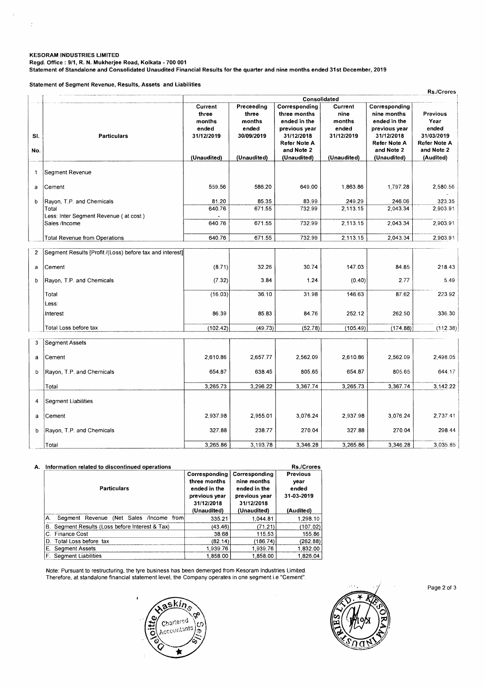#### **KESORAM INDUSTRIES LIMITED**

 $\overline{\phantom{a}}$ 

 $\overline{\mathcal{L}}$ 

**Regd. Office : 9/1, R. N. Mukherjee Road, Kolkata - 700 001** 

**Statement of Standalone and Consolidated Unaudited Financial Results for the quarter and nine months ended 31st December, 2019** 

**Statement of Segment Revenue, Results, Assets and Liabilities** 

|                |                                                                             | Rs./Crores<br>Consolidated                                       |                                                                     |                                                                                                                                  |                                                                 |                                                                                                                                 |                                                                                           |  |
|----------------|-----------------------------------------------------------------------------|------------------------------------------------------------------|---------------------------------------------------------------------|----------------------------------------------------------------------------------------------------------------------------------|-----------------------------------------------------------------|---------------------------------------------------------------------------------------------------------------------------------|-------------------------------------------------------------------------------------------|--|
| SI.<br>No.     | <b>Particulars</b>                                                          | Current<br>three<br>months<br>ended<br>31/12/2019<br>(Unaudited) | Preceeding<br>three<br>months<br>ended<br>30/09/2019<br>(Unaudited) | Corresponding<br>three months<br>ended in the<br>previous year<br>31/12/2018<br><b>Refer Note A</b><br>and Note 2<br>(Unaudited) | Current<br>nine<br>months<br>ended<br>31/12/2019<br>(Unaudited) | Corresponding<br>nine months<br>ended in the<br>previous year<br>31/12/2018<br><b>Refer Note A</b><br>and Note 2<br>(Unaudited) | <b>Previous</b><br>Year<br>ended<br>31/03/2019<br>Refer Note A<br>and Note 2<br>(Audited) |  |
| 1              | Segment Revenue                                                             |                                                                  |                                                                     |                                                                                                                                  |                                                                 |                                                                                                                                 |                                                                                           |  |
| a              | Cement                                                                      | 559.56                                                           | 586.20                                                              | 649.00                                                                                                                           | 1,863.86                                                        | 1,797.28                                                                                                                        | 2,580.56                                                                                  |  |
| b              | Rayon, T.P. and Chemicals<br>Total<br>Less: Inter Segment Revenue (at cost) | 81.20<br>640.76                                                  | 85.35<br>671.55                                                     | 83.99<br>732.99                                                                                                                  | 249.29<br>2,113.15                                              | 246.06<br>2,043.34                                                                                                              | 323.35<br>2,903.91                                                                        |  |
|                | Sales /Income                                                               | 640.76                                                           | 671.55                                                              | 732.99                                                                                                                           | 2,113.15                                                        | 2.043.34                                                                                                                        | 2,903.91                                                                                  |  |
|                | <b>Total Revenue from Operations</b>                                        | 640.76                                                           | 671.55                                                              | 732.99                                                                                                                           | 2,113.15                                                        | 2,043.34                                                                                                                        | 2,903.91                                                                                  |  |
| $\overline{2}$ | Segment Results [Profit /(Loss) before tax and interest]                    |                                                                  |                                                                     |                                                                                                                                  |                                                                 |                                                                                                                                 |                                                                                           |  |
| a              | Cement                                                                      | (8.71)                                                           | 32.26                                                               | 30.74                                                                                                                            | 147.03                                                          | 84.85                                                                                                                           | 218.43                                                                                    |  |
| b              | Rayon, T.P. and Chemicals                                                   | (7.32)                                                           | 3.84                                                                | 1.24                                                                                                                             | (0.40)                                                          | 2.77                                                                                                                            | 5.49                                                                                      |  |
|                | Total                                                                       | (16.03)                                                          | 36.10                                                               | 31.98                                                                                                                            | 146.63                                                          | 87.62                                                                                                                           | 223.92                                                                                    |  |
|                | Less:<br>Interest                                                           | 86.39                                                            | 85.83                                                               | 84.76                                                                                                                            | 252.12                                                          | 262.50                                                                                                                          | 336.30                                                                                    |  |
|                | Total Loss before tax                                                       | (102.42)                                                         | (49.73)                                                             | (52.78)                                                                                                                          | (105.49)                                                        | (174.88)                                                                                                                        | (112.38)                                                                                  |  |
| 3              | <b>Segment Assets</b>                                                       |                                                                  |                                                                     |                                                                                                                                  |                                                                 |                                                                                                                                 |                                                                                           |  |
| a              | Cement                                                                      | 2,610.86                                                         | 2,657.77                                                            | 2,562.09                                                                                                                         | 2,610.86                                                        | 2,562.09                                                                                                                        | 2.498.05                                                                                  |  |
| b              | Rayon, T.P. and Chemicals                                                   | 654.87                                                           | 638.45                                                              | 805.65                                                                                                                           | 654.87                                                          | 805.65                                                                                                                          | 644.17                                                                                    |  |
|                | Total                                                                       | 3,265.73                                                         | 3,296.22                                                            | 3,367.74                                                                                                                         | 3,265.73                                                        | 3,367.74                                                                                                                        | 3,142.22                                                                                  |  |
| 4              | Segment Liabilities                                                         |                                                                  |                                                                     |                                                                                                                                  |                                                                 |                                                                                                                                 |                                                                                           |  |
| a              | Cement                                                                      | 2,937.98                                                         | 2,955.01                                                            | 3,076.24                                                                                                                         | 2,937.98                                                        | 3,076.24                                                                                                                        | 2,737.41                                                                                  |  |
| b              | Rayon, T.P. and Chemicals                                                   | 327.88                                                           | 238.77                                                              | 270.04                                                                                                                           | 327.88                                                          | 270.04                                                                                                                          | 298.44                                                                                    |  |
|                | Total                                                                       | 3,265.86                                                         | 3,193.78                                                            | 3,346.28                                                                                                                         | 3,265.86                                                        | 3,346.28                                                                                                                        | 3,035.85                                                                                  |  |

### **A. Information related to discontinued operations Rs./Crores**

| <b>Particulars</b>                                   | Corresponding<br>three months<br>ended in the<br>previous year<br>31/12/2018<br>(Unaudited) | Corresponding<br>nine months<br>ended in the<br>previous year<br>31/12/2018<br>(Unaudited) | .<br><b>Previous</b><br>vear<br>ended<br>31-03-2019<br>(Audited) |
|------------------------------------------------------|---------------------------------------------------------------------------------------------|--------------------------------------------------------------------------------------------|------------------------------------------------------------------|
| (Net Sales /Income<br>Segment Revenue<br>froml<br>А. | 335.21                                                                                      | 1,044.81                                                                                   | 1,298.10                                                         |
| B. Segment Results (Loss before Interest & Tax)      | (43.46)                                                                                     | (71.21)                                                                                    | (107.02)                                                         |
| C. Finance Cost                                      | 38.68                                                                                       | 115.53                                                                                     | 155.86                                                           |
| D. Total Loss before tax                             | (82.14)                                                                                     | (186.74)                                                                                   | (262.88)                                                         |
| E. Segment Assets                                    | 1,939.76                                                                                    | 1.939.76                                                                                   | 1.832.00                                                         |
| F. Segment Liabilities                               | 1.858.00                                                                                    | 1.858.00                                                                                   | 1.826.04                                                         |

Note: Pursuant to restructuring, the tyre business has been demerged from Kesoram Industries Limited. Therefore, at standalone financial statement level, the Company operates in one segment i.e "Cement".





Page 2 of 3